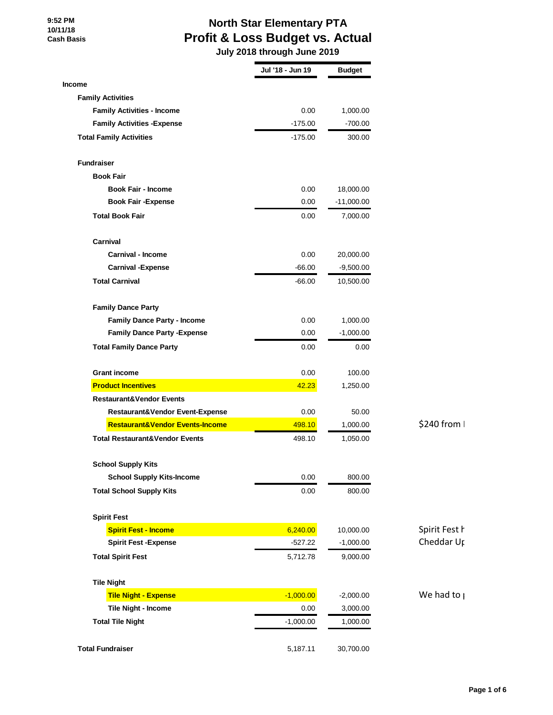# **North Star Elementary PTA Profit & Loss Budget vs. Actual**

 **July 2018 through June 2019**

|                                            | Jul '18 - Jun 19 | <b>Budget</b> |                   |
|--------------------------------------------|------------------|---------------|-------------------|
| <b>Income</b>                              |                  |               |                   |
| <b>Family Activities</b>                   |                  |               |                   |
| <b>Family Activities - Income</b>          | 0.00             | 1,000.00      |                   |
| <b>Family Activities - Expense</b>         | $-175.00$        | $-700.00$     |                   |
| <b>Total Family Activities</b>             | $-175.00$        | 300.00        |                   |
| <b>Fundraiser</b>                          |                  |               |                   |
| <b>Book Fair</b>                           |                  |               |                   |
| <b>Book Fair - Income</b>                  | 0.00             | 18,000.00     |                   |
| <b>Book Fair - Expense</b>                 | 0.00             | $-11,000.00$  |                   |
| <b>Total Book Fair</b>                     | 0.00             | 7,000.00      |                   |
| Carnival                                   |                  |               |                   |
| <b>Carnival - Income</b>                   | 0.00             | 20,000.00     |                   |
| <b>Carnival - Expense</b>                  | $-66.00$         | $-9,500.00$   |                   |
| <b>Total Carnival</b>                      | $-66.00$         | 10,500.00     |                   |
| <b>Family Dance Party</b>                  |                  |               |                   |
| <b>Family Dance Party - Income</b>         | 0.00             | 1,000.00      |                   |
| <b>Family Dance Party - Expense</b>        | 0.00             | $-1,000.00$   |                   |
| <b>Total Family Dance Party</b>            | 0.00             | 0.00          |                   |
| <b>Grant income</b>                        | 0.00             | 100.00        |                   |
| <b>Product Incentives</b>                  | 42.23            | 1,250.00      |                   |
| <b>Restaurant&amp;Vendor Events</b>        |                  |               |                   |
| Restaurant&Vendor Event-Expense            | 0.00             | 50.00         |                   |
| <b>Restaurant&amp;Vendor Events-Income</b> | 498.10           | 1,000.00      | \$240 from        |
| <b>Total Restaurant&amp;Vendor Events</b>  | 498.10           | 1,050.00      |                   |
| <b>School Supply Kits</b>                  |                  |               |                   |
| <b>School Supply Kits-Income</b>           | 0.00             | 800.00        |                   |
| <b>Total School Supply Kits</b>            | 0.00             | 800.00        |                   |
| <b>Spirit Fest</b>                         |                  |               |                   |
| <b>Spirit Fest - Income</b>                | 6,240.00         | 10,000.00     | Spirit Fest h     |
| <b>Spirit Fest - Expense</b>               | $-527.22$        | $-1,000.00$   | Cheddar Ur        |
| <b>Total Spirit Fest</b>                   | 5,712.78         | 9,000.00      |                   |
| <b>Tile Night</b>                          |                  |               |                   |
| <b>Tile Night - Expense</b>                | $-1,000.00$      | $-2,000.00$   | We had to $\vert$ |
| <b>Tile Night - Income</b>                 | 0.00             | 3,000.00      |                   |
| <b>Total Tile Night</b>                    | $-1,000.00$      | 1,000.00      |                   |
| <b>Total Fundraiser</b>                    | 5,187.11         | 30,700.00     |                   |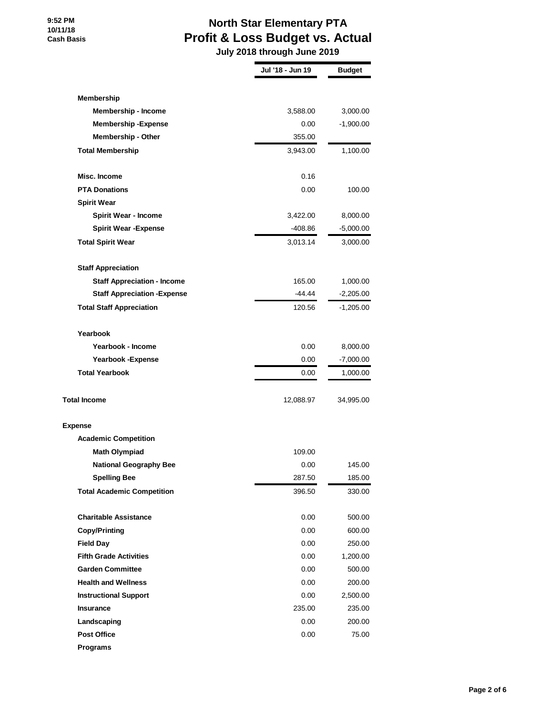# **North Star Elementary PTA Profit & Loss Budget vs. Actual**

 **July 2018 through June 2019**

|                                     | Jul '18 - Jun 19 | <b>Budget</b> |
|-------------------------------------|------------------|---------------|
|                                     |                  |               |
| Membership                          |                  |               |
| <b>Membership - Income</b>          | 3,588.00         | 3,000.00      |
| <b>Membership - Expense</b>         | 0.00             | $-1,900.00$   |
| <b>Membership - Other</b>           | 355.00           |               |
| <b>Total Membership</b>             | 3,943.00         | 1,100.00      |
| Misc. Income                        | 0.16             |               |
| <b>PTA Donations</b>                | 0.00             | 100.00        |
| <b>Spirit Wear</b>                  |                  |               |
| <b>Spirit Wear - Income</b>         | 3,422.00         | 8,000.00      |
| <b>Spirit Wear -Expense</b>         | $-408.86$        | $-5,000.00$   |
| <b>Total Spirit Wear</b>            | 3,013.14         | 3,000.00      |
| <b>Staff Appreciation</b>           |                  |               |
| <b>Staff Appreciation - Income</b>  | 165.00           | 1,000.00      |
| <b>Staff Appreciation - Expense</b> | -44.44           | $-2,205.00$   |
| <b>Total Staff Appreciation</b>     | 120.56           | $-1,205.00$   |
| Yearbook                            |                  |               |
| Yearbook - Income                   | 0.00             | 8,000.00      |
| <b>Yearbook -Expense</b>            | 0.00             | $-7,000.00$   |
| <b>Total Yearbook</b>               | 0.00             | 1,000.00      |
| <b>Total Income</b>                 | 12,088.97        | 34,995.00     |
| <b>Expense</b>                      |                  |               |
| <b>Academic Competition</b>         |                  |               |
| <b>Math Olympiad</b>                | 109.00           |               |
| <b>National Geography Bee</b>       | 0.00             | 145.00        |
| <b>Spelling Bee</b>                 | 287.50           | 185.00        |
| <b>Total Academic Competition</b>   | 396.50           | 330.00        |
| <b>Charitable Assistance</b>        | 0.00             | 500.00        |
| <b>Copy/Printing</b>                | 0.00             | 600.00        |
| <b>Field Day</b>                    | 0.00             | 250.00        |
| <b>Fifth Grade Activities</b>       | 0.00             | 1,200.00      |
| <b>Garden Committee</b>             | 0.00             | 500.00        |
| <b>Health and Wellness</b>          | 0.00             | 200.00        |
| <b>Instructional Support</b>        | 0.00             | 2,500.00      |
| <b>Insurance</b>                    | 235.00           | 235.00        |
| Landscaping                         | 0.00             | 200.00        |
| <b>Post Office</b>                  | 0.00             | 75.00         |
| <b>Programs</b>                     |                  |               |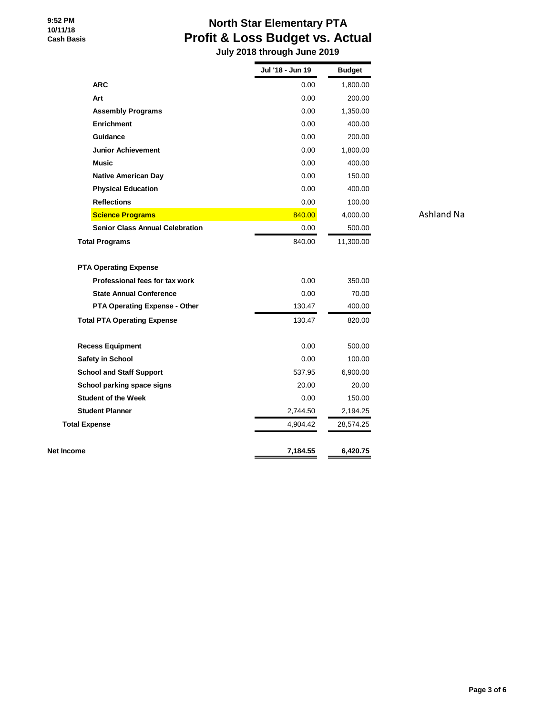# **North Star Elementary PTA Profit & Loss Budget vs. Actual**

 **July 2018 through June 2019**

| <b>ARC</b><br>Art                                              | 0.00     |           |                   |
|----------------------------------------------------------------|----------|-----------|-------------------|
|                                                                |          | 1,800.00  |                   |
|                                                                | 0.00     | 200.00    |                   |
| <b>Assembly Programs</b>                                       | 0.00     | 1,350.00  |                   |
| <b>Enrichment</b>                                              | 0.00     | 400.00    |                   |
| Guidance                                                       | 0.00     | 200.00    |                   |
| <b>Junior Achievement</b>                                      | 0.00     | 1,800.00  |                   |
| <b>Music</b>                                                   | 0.00     | 400.00    |                   |
| <b>Native American Day</b>                                     | 0.00     | 150.00    |                   |
| <b>Physical Education</b>                                      | 0.00     | 400.00    |                   |
| <b>Reflections</b>                                             | 0.00     | 100.00    |                   |
| <b>Science Programs</b>                                        | 840.00   | 4,000.00  | <b>Ashland Na</b> |
| <b>Senior Class Annual Celebration</b>                         | 0.00     | 500.00    |                   |
| <b>Total Programs</b>                                          | 840.00   | 11,300.00 |                   |
| <b>PTA Operating Expense</b><br>Professional fees for tax work | 0.00     | 350.00    |                   |
| <b>State Annual Conference</b>                                 | 0.00     | 70.00     |                   |
| <b>PTA Operating Expense - Other</b>                           | 130.47   | 400.00    |                   |
| <b>Total PTA Operating Expense</b>                             | 130.47   | 820.00    |                   |
| <b>Recess Equipment</b>                                        | 0.00     | 500.00    |                   |
| <b>Safety in School</b>                                        | 0.00     | 100.00    |                   |
| <b>School and Staff Support</b>                                | 537.95   | 6,900.00  |                   |
| School parking space signs                                     | 20.00    | 20.00     |                   |
| <b>Student of the Week</b>                                     | 0.00     | 150.00    |                   |
| <b>Student Planner</b>                                         | 2,744.50 | 2,194.25  |                   |
| <b>Total Expense</b>                                           | 4,904.42 | 28,574.25 |                   |
| Net Income                                                     | 7,184.55 | 6,420.75  |                   |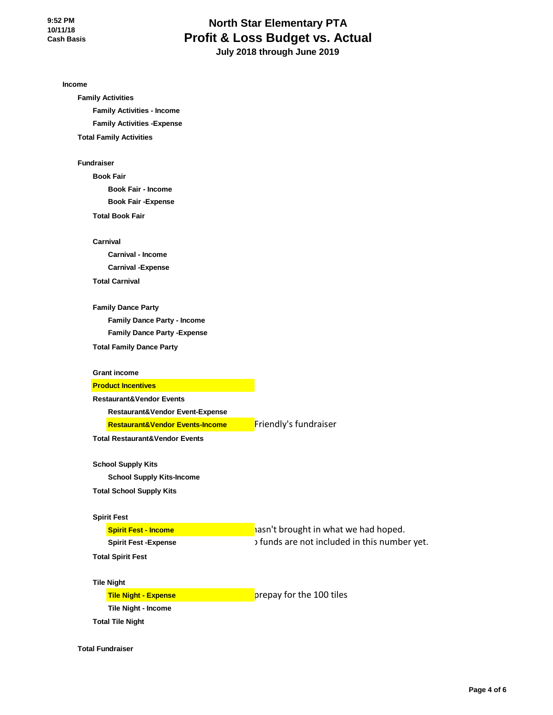# **North Star Elementary PTA Profit & Loss Budget vs. Actual July 2018 through June 2019**

**Income**

**Family Activities Family Activities - Income Family Activities -Expense Total Family Activities**

**Fundraiser**

**Book Fair Book Fair - Income Book Fair -Expense Total Book Fair**

**Carnival Carnival - Income Carnival -Expense**

**Total Carnival**

**Family Dance Party Family Dance Party - Income Family Dance Party -Expense**

**Total Family Dance Party**

**Grant income**

**Product Incentives**

**Restaurant&Vendor Events**

**Restaurant&Vendor Event-Expense**

**Restaurant&Vendor Events-Income**

**Friendly's fundraiser** 

**School Supply Kits**

**School Supply Kits-Income**

**Total Restaurant&Vendor Events**

**Total School Supply Kits**

#### **Spirit Fest**

**Spirit Fest - Income Spirit Fest -Expense**

**Total Spirit Fest**

**Tile Night**

**Tile Night - Expense**

**Tile Night - Income Total Tile Night**

prepay for the 100 tiles

hasn't brought in what we had hoped. t funds are not included in this number yet.

**Total Fundraiser**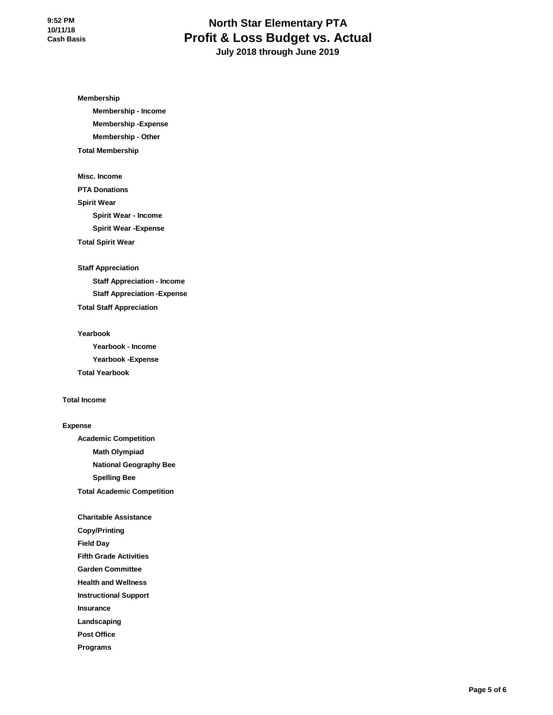# **North Star Elementary PTA Profit & Loss Budget vs. Actual July 2018 through June 2019**

**Membership**

**Membership - Income Membership -Expense Membership - Other Total Membership**

**Misc. Income PTA Donations Spirit Wear Spirit Wear - Income Spirit Wear -Expense Total Spirit Wear**

**Staff Appreciation**

**Staff Appreciation - Income Staff Appreciation -Expense Total Staff Appreciation**

**Yearbook Yearbook - Income Yearbook -Expense Total Yearbook**

## **Total Income**

#### **Expense**

**Academic Competition Math Olympiad National Geography Bee Spelling Bee Total Academic Competition**

**Charitable Assistance Copy/Printing Field Day Fifth Grade Activities Garden Committee Health and Wellness Instructional Support Insurance Landscaping Post Office**

**Programs**